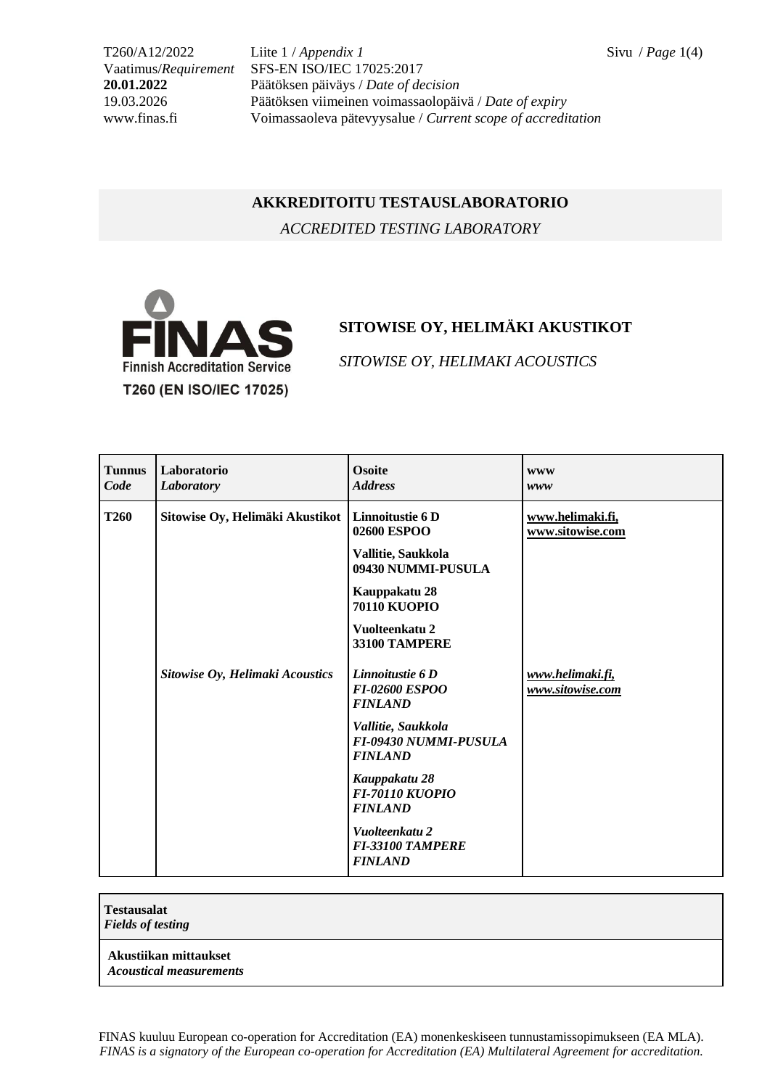T260/A12/2022 Liite 1 / *Appendix 1* Sivu / *Page* 1(4) Vaatimus/*Requirement* SFS-EN ISO/IEC 17025:2017 **20.01.2022** Päätöksen päiväys / *Date of decision* 19.03.2026 Päätöksen viimeinen voimassaolopäivä / *Date of expiry* www.finas.fi Voimassaoleva pätevyysalue / *Current scope of accreditation*

## **AKKREDITOITU TESTAUSLABORATORIO**

*ACCREDITED TESTING LABORATORY*



## **SITOWISE OY, HELIMÄKI AKUSTIKOT**

*SITOWISE OY, HELIMAKI ACOUSTICS*

| <b>Tunnus</b><br>Code | Laboratorio<br>Laboratory       | <b>Osoite</b><br><b>Address</b>                                      | <b>WWW</b><br>www                    |
|-----------------------|---------------------------------|----------------------------------------------------------------------|--------------------------------------|
| <b>T260</b>           | Sitowise Oy, Helimäki Akustikot | Linnoitustie 6D<br>02600 ESPOO                                       | www.helimaki.fi,<br>www.sitowise.com |
|                       |                                 | Vallitie, Saukkola<br>09430 NUMMI-PUSULA                             |                                      |
|                       |                                 | Kauppakatu 28<br><b>70110 KUOPIO</b>                                 |                                      |
|                       |                                 | Vuolteenkatu 2<br>33100 TAMPERE                                      |                                      |
|                       | Sitowise Oy, Helimaki Acoustics | Linnoitustie 6 D<br><b>FI-02600 ESPOO</b><br><b>FINLAND</b>          | www.helimaki.fi,<br>www.sitowise.com |
|                       |                                 | Vallitie, Saukkola<br><b>FI-09430 NUMMI-PUSULA</b><br><b>FINLAND</b> |                                      |
|                       |                                 | Kauppakatu 28<br><b>FI-70110 KUOPIO</b><br><b>FINLAND</b>            |                                      |
|                       |                                 | Vuolteenkatu 2<br><b>FI-33100 TAMPERE</b><br><b>FINLAND</b>          |                                      |

## **Testausalat** *Fields of testing* **Akustiikan mittaukset** *Acoustical measurements*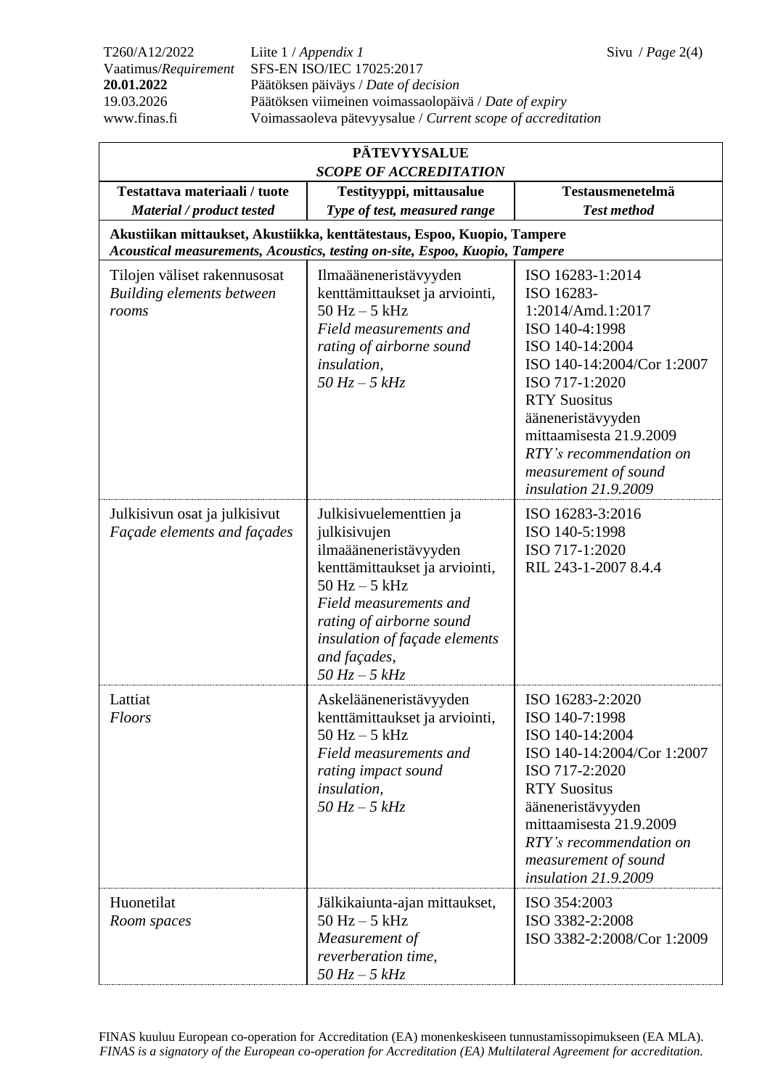T260/A12/2022 Liite 1 / *Appendix 1* Sivu / *Page* 2(4) Vaatimus/*Requirement* SFS-EN ISO/IEC 17025:2017 **20.01.2022** Päätöksen päiväys / *Date of decision* 19.03.2026 Päätöksen viimeinen voimassaolopäivä / *Date of expiry* www.finas.fi Voimassaoleva pätevyysalue / *Current scope of accreditation*

| <b>PÄTEVYYSALUE</b><br><b>SCOPE OF ACCREDITATION</b>                                                                                                    |                                                                                                                                                                                                                                                        |                                                                                                                                                                                                                                                                                            |  |  |  |  |
|---------------------------------------------------------------------------------------------------------------------------------------------------------|--------------------------------------------------------------------------------------------------------------------------------------------------------------------------------------------------------------------------------------------------------|--------------------------------------------------------------------------------------------------------------------------------------------------------------------------------------------------------------------------------------------------------------------------------------------|--|--|--|--|
| Testattava materiaali / tuote                                                                                                                           | Testityyppi, mittausalue                                                                                                                                                                                                                               | Testausmenetelmä                                                                                                                                                                                                                                                                           |  |  |  |  |
| Material / product tested                                                                                                                               | Type of test, measured range                                                                                                                                                                                                                           | <b>Test method</b>                                                                                                                                                                                                                                                                         |  |  |  |  |
| Akustiikan mittaukset, Akustiikka, kenttätestaus, Espoo, Kuopio, Tampere<br>Acoustical measurements, Acoustics, testing on-site, Espoo, Kuopio, Tampere |                                                                                                                                                                                                                                                        |                                                                                                                                                                                                                                                                                            |  |  |  |  |
| Tilojen väliset rakennusosat<br><b>Building elements between</b><br>rooms                                                                               | Ilmaääneneristävyyden<br>kenttämittaukset ja arviointi,<br>$50$ Hz $-5$ kHz<br>Field measurements and<br>rating of airborne sound<br><i>insulation,</i><br>$50\,$ Hz $-$ 5 $kHz$                                                                       | ISO 16283-1:2014<br>ISO 16283-<br>1:2014/Amd.1:2017<br>ISO 140-4:1998<br>ISO 140-14:2004<br>ISO 140-14:2004/Cor 1:2007<br>ISO 717-1:2020<br><b>RTY Suositus</b><br>ääneneristävyyden<br>mittaamisesta 21.9.2009<br>RTY's recommendation on<br>measurement of sound<br>insulation 21.9.2009 |  |  |  |  |
| Julkisivun osat ja julkisivut<br>Façade elements and façades                                                                                            | Julkisivuelementtien ja<br>julkisivujen<br>ilmaääneneristävyyden<br>kenttämittaukset ja arviointi,<br>$50$ Hz $-5$ kHz<br>Field measurements and<br>rating of airborne sound<br>insulation of façade elements<br>and façades,<br>$50\,$ Hz $-$ 5 $kHz$ | ISO 16283-3:2016<br>ISO 140-5:1998<br>ISO 717-1:2020<br>RIL 243-1-2007 8.4.4                                                                                                                                                                                                               |  |  |  |  |
| Lattiat<br>Floors                                                                                                                                       | Askelääneneristävyyden<br>kenttämittaukset ja arviointi,<br>$50$ Hz $-5$ kHz<br>Field measurements and<br>rating impact sound<br><i>insulation,</i><br>$50\,$ Hz $-$ 5 $kHz$                                                                           | ISO 16283-2:2020<br>ISO 140-7:1998<br>ISO 140-14:2004<br>ISO 140-14:2004/Cor 1:2007<br>ISO 717-2:2020<br><b>RTY Suositus</b><br>ääneneristävyyden<br>mittaamisesta 21.9.2009<br>RTY's recommendation on<br>measurement of sound<br>insulation 21.9.2009                                    |  |  |  |  |
| Huonetilat<br>Room spaces                                                                                                                               | Jälkikaiunta-ajan mittaukset,<br>$50$ Hz $-5$ kHz<br>Measurement of<br>reverberation time,<br>$50\,$ Hz $-$ 5 $kHz$                                                                                                                                    | ISO 354:2003<br>ISO 3382-2:2008<br>ISO 3382-2:2008/Cor 1:2009                                                                                                                                                                                                                              |  |  |  |  |

FINAS kuuluu European co-operation for Accreditation (EA) monenkeskiseen tunnustamissopimukseen (EA MLA). *FINAS is a signatory of the European co-operation for Accreditation (EA) Multilateral Agreement for accreditation.*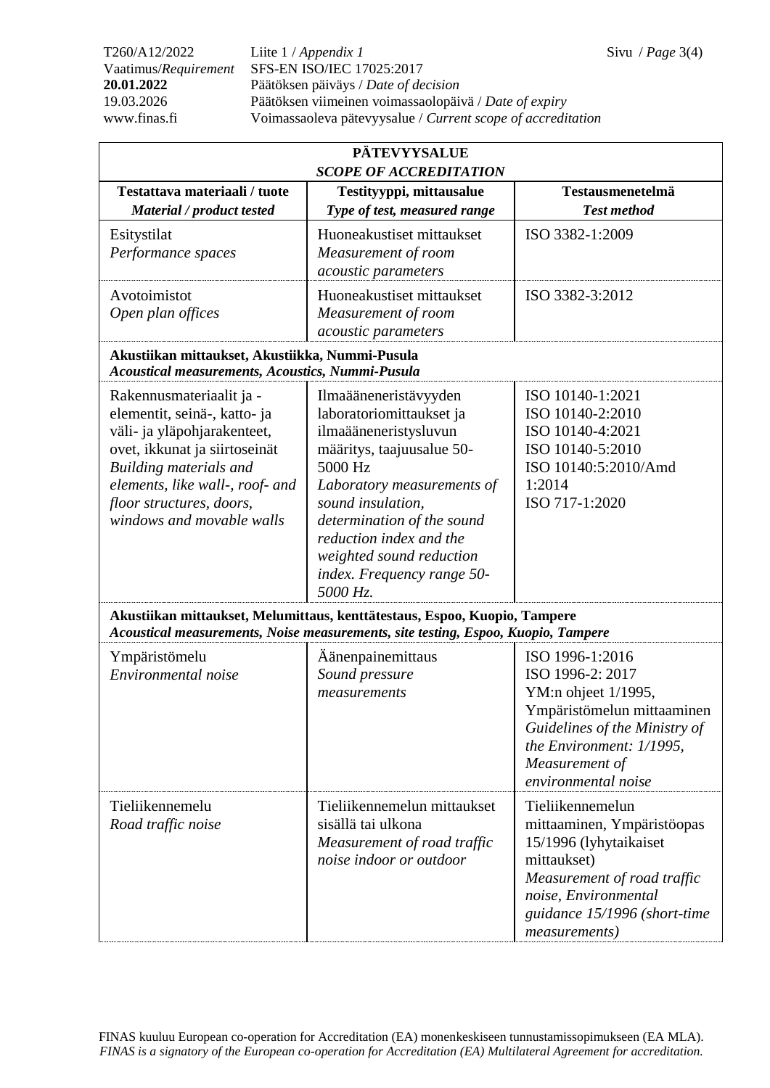T260/A12/2022 Liite 1 / *Appendix 1* Sivu / *Page* 3(4) Vaatimus/*Requirement* SFS-EN ISO/IEC 17025:2017 **20.01.2022** Päätöksen päiväys / *Date of decision* 19.03.2026 Päätöksen viimeinen voimassaolopäivä / *Date of expiry* www.finas.fi Voimassaoleva pätevyysalue / *Current scope of accreditation*

| <b>PÄTEVYYSALUE</b>                                                                                                                                                                                                                                   |                                                                                                                                                                                                                                                                                                      |                                                                                                                                                                                                 |  |  |  |
|-------------------------------------------------------------------------------------------------------------------------------------------------------------------------------------------------------------------------------------------------------|------------------------------------------------------------------------------------------------------------------------------------------------------------------------------------------------------------------------------------------------------------------------------------------------------|-------------------------------------------------------------------------------------------------------------------------------------------------------------------------------------------------|--|--|--|
| Testattava materiaali / tuote<br>Material / product tested                                                                                                                                                                                            | <b>SCOPE OF ACCREDITATION</b><br>Testityyppi, mittausalue<br>Type of test, measured range                                                                                                                                                                                                            | <b>Testausmenetelmä</b><br><b>Test method</b>                                                                                                                                                   |  |  |  |
| Esitystilat<br>Performance spaces                                                                                                                                                                                                                     | Huoneakustiset mittaukset<br>Measurement of room<br>acoustic parameters                                                                                                                                                                                                                              | ISO 3382-1:2009                                                                                                                                                                                 |  |  |  |
| Avotoimistot<br>Open plan offices                                                                                                                                                                                                                     | Huoneakustiset mittaukset<br>Measurement of room<br>acoustic parameters                                                                                                                                                                                                                              | ISO 3382-3:2012                                                                                                                                                                                 |  |  |  |
| Akustiikan mittaukset, Akustiikka, Nummi-Pusula<br>Acoustical measurements, Acoustics, Nummi-Pusula                                                                                                                                                   |                                                                                                                                                                                                                                                                                                      |                                                                                                                                                                                                 |  |  |  |
| Rakennusmateriaalit ja -<br>elementit, seinä-, katto- ja<br>väli- ja yläpohjarakenteet,<br>ovet, ikkunat ja siirtoseinät<br><b>Building materials and</b><br>elements, like wall-, roof- and<br>floor structures, doors,<br>windows and movable walls | Ilmaääneneristävyyden<br>laboratoriomittaukset ja<br>ilmaääneneristysluvun<br>määritys, taajuusalue 50-<br>5000 Hz<br>Laboratory measurements of<br>sound insulation,<br>determination of the sound<br>reduction index and the<br>weighted sound reduction<br>index. Frequency range 50-<br>5000 Hz. | ISO 10140-1:2021<br>ISO 10140-2:2010<br>ISO 10140-4:2021<br>ISO 10140-5:2010<br>ISO 10140:5:2010/Amd<br>1:2014<br>ISO 717-1:2020                                                                |  |  |  |
|                                                                                                                                                                                                                                                       | Akustiikan mittaukset, Melumittaus, kenttätestaus, Espoo, Kuopio, Tampere<br>Acoustical measurements, Noise measurements, site testing, Espoo, Kuopio, Tampere                                                                                                                                       |                                                                                                                                                                                                 |  |  |  |
| Ympäristömelu<br>Environmental noise                                                                                                                                                                                                                  | Aänenpainemittaus<br>Sound pressure<br>measurements                                                                                                                                                                                                                                                  | ISO 1996-1:2016<br>ISO 1996-2: 2017<br>YM:n ohjeet 1/1995,<br>Ympäristömelun mittaaminen<br>Guidelines of the Ministry of<br>the Environment: 1/1995,<br>Measurement of<br>environmental noise  |  |  |  |
| Tieliikennemelu<br>Road traffic noise                                                                                                                                                                                                                 | Tieliikennemelun mittaukset<br>sisällä tai ulkona<br>Measurement of road traffic<br>noise indoor or outdoor                                                                                                                                                                                          | Tieliikennemelun<br>mittaaminen, Ympäristöopas<br>15/1996 (lyhytaikaiset<br>mittaukset)<br>Measurement of road traffic<br>noise, Environmental<br>guidance 15/1996 (short-time<br>measurements) |  |  |  |